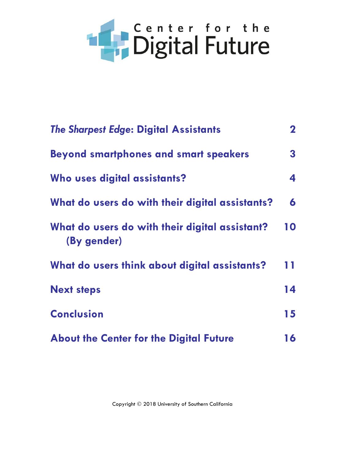# **Exploration the Digital Future**

| <b>The Sharpest Edge: Digital Assistants</b>                  | $\mathbf{2}$ |
|---------------------------------------------------------------|--------------|
| <b>Beyond smartphones and smart speakers</b>                  | 3            |
| Who uses digital assistants?                                  | 4            |
| What do users do with their digital assistants?               | 6            |
| What do users do with their digital assistant?<br>(By gender) | 10           |
| What do users think about digital assistants?                 | 11           |
| <b>Next steps</b>                                             | 14           |
| <b>Conclusion</b>                                             | 15           |
| <b>About the Center for the Digital Future</b>                | 16           |

Copyright © 2018 University of Southern California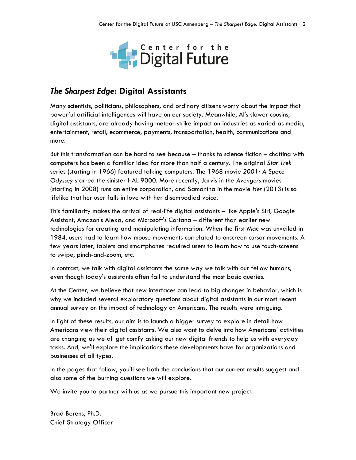

#### *The Sharpest Edge***: Digital Assistants**

Many scientists, politicians, philosophers, and ordinary citizens worry about the impact that powerful artificial intelligences will have on our society. Meanwhile, AI's slower cousins, digital assistants, are already having meteor-strike impact on industries as varied as media, entertainment, retail, ecommerce, payments, transportation, health, communications and more.

But this transformation can be hard to see because – thanks to science fiction – chatting with computers has been a familiar idea for more than half a century. The original *Star Trek* series (starting in 1966) featured talking computers. The 1968 movie *2001: A Space Odyssey* starred the sinister HAL 9000. More recently, Jarvis in the *Avengers* movies (starting in 2008) runs an entire corporation, and Samantha in the movie *Her* (2013) is so lifelike that her user falls in love with her disembodied voice.

This familiarity makes the arrival of real-life digital assistants – like Apple's Siri, Google Assistant, Amazon's Alexa, and Microsoft's Cortana – different than earlier new technologies for creating and manipulating information. When the first Mac was unveiled in 1984, users had to learn how mouse movements correlated to onscreen cursor movements. A few years later, tablets and smartphones required users to learn how to use touch-screens to swipe, pinch-and-zoom, etc.

In contrast, we talk with digital assistants the same way we talk with our fellow humans, even though today's assistants often fail to understand the most basic queries.

At the Center, we believe that new interfaces can lead to big changes in behavior, which is why we included several exploratory questions about digital assistants in our most recent annual survey on the impact of technology on Americans. The results were intriguing.

In light of these results, our aim is to launch a bigger survey to explore in detail how Americans view their digital assistants. We also want to delve into how Americans' activities are changing as we all get comfy asking our new digital friends to help us with everyday tasks. And, we'll explore the implications these developments have for organizations and businesses of all types.

In the pages that follow, you'll see both the conclusions that our current results suggest and also some of the burning questions we will explore.

We invite you to partner with us as we pursue this important new project.

Brad Berens, Ph.D. Chief Strategy Officer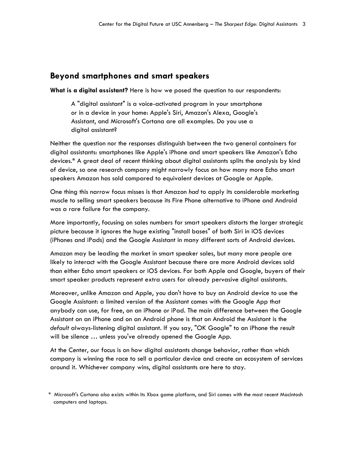#### **Beyond smartphones and smart speakers**

**What is a digital assistant?** Here is how we posed the question to our respondents:

A "digital assistant" is a voice-activated program in your smartphone or in a device in your home: Apple's Siri, Amazon's Alexa, Google's Assistant, and Microsoft's Cortana are all examples. Do you use a digital assistant?

Neither the question nor the responses distinguish between the two general containers for digital assistants: smartphones like Apple's iPhone and smart speakers like Amazon's Echo devices.\* A great deal of recent thinking about digital assistants splits the analysis by kind of device, so one research company might narrowly focus on how many more Echo smart speakers Amazon has sold compared to equivalent devices at Google or Apple.

One thing this narrow focus misses is that Amazon *had* to apply its considerable marketing muscle to selling smart speakers because its Fire Phone alternative to iPhone and Android was a rare failure for the company.

More importantly, focusing on sales numbers for smart speakers distorts the larger strategic picture because it ignores the huge existing "install bases" of both Siri in iOS devices (iPhones and iPads) and the Google Assistant in many different sorts of Android devices.

Amazon may be leading the market in smart speaker sales, but many more people are likely to interact with the Google Assistant because there are more Android devices sold than either Echo smart speakers or iOS devices. For both Apple and Google, buyers of their smart speaker products represent extra users for already pervasive digital assistants.

Moreover, unlike Amazon and Apple, you don't have to buy an Android device to use the Google Assistant: a limited version of the Assistant comes with the Google App that anybody can use, for free, on an iPhone or iPad. The main difference between the Google Assistant on an iPhone and on an Android phone is that on Android the Assistant is the *default* always-listening digital assistant. If you say, "OK Google" to an iPhone the result will be silence … unless you've already opened the Google App.

At the Center, our focus is on how digital assistants change behavior, rather than which company is winning the race to sell a particular device and create an ecosystem of services around it. Whichever company wins, digital assistants are here to stay.

<sup>\*</sup> Microsoft's Cortana also exists within its Xbox game platform, and Siri comes with the most recent Macintosh computers and laptops.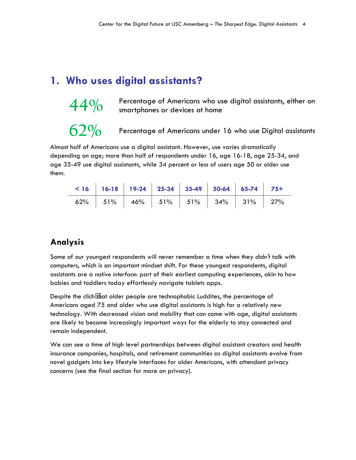## **1. Who uses digital assistants?**



44% Percentage of Americans who use digital assistants, either on smartphones or devices at home

**62%** Percentage of Americans under 16 who use Digital assistants

Almost half of Americans use a digital assistant. However, use varies dramatically depending on age; more than half of respondents under 16, age 16-18, age 25-34, and age 35-49 use digital assistants, while 34 percent or less of users age 50 or older use them.

|  |  | $\le$ 16   16-18   19-24   25-34   35-49   50-64   65-74   75+ |  |  |
|--|--|----------------------------------------------------------------|--|--|
|  |  |                                                                |  |  |

### **Analysis**

Some of our youngest respondents will never remember a time when they *didn't* talk with computers, which is an important mindset shift. For these youngest respondents, digital assistants are a *native interface*: part of their earliest computing experiences, akin to how babies and toddlers today effortlessly navigate tablets apps.

Despite the cliché hat older people are technophobic Luddites, the percentage of Americans aged 75 and older who use digital assistants is high for a relatively new technology. With decreased vision and mobility that can come with age, digital assistants are likely to become increasingly important ways for the elderly to stay connected and remain independent.

We can see a time of high level partnerships between digital assistant creators and health insurance companies, hospitals, and retirement communities as digital assistants evolve from novel gadgets into key lifestyle interfaces for older Americans, with attendant privacy concerns (see the final section for more on privacy).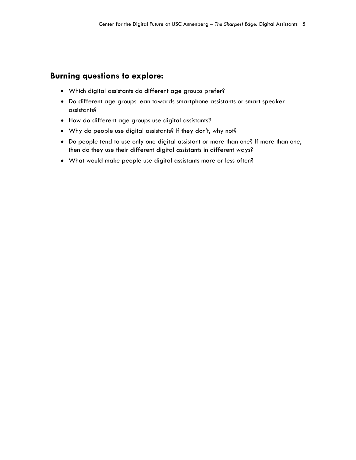#### **Burning questions to explore:**

- Which digital assistants do different age groups prefer?
- Do different age groups lean towards smartphone assistants or smart speaker assistants?
- How do different age groups use digital assistants?
- Why do people use digital assistants? If they don't, why not?
- Do people tend to use only one digital assistant or more than one? If more than one, then do they use their different digital assistants in different ways?
- What would make people use digital assistants more or less often?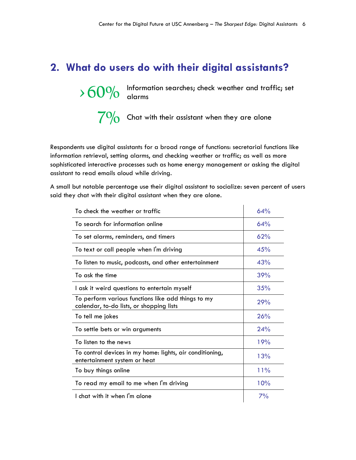# **2. What do users do with their digital assistants?**

> 60% Information searches; check weather and traffic; set alarms

7<sup>0</sup>% Chat with their assistant when they are alone

Respondents use digital assistants for a broad range of functions: secretarial functions like information retrieval, setting alarms, and checking weather or traffic; as well as more sophisticated interactive processes such as home energy management or asking the digital assistant to read emails aloud while driving.

A small but notable percentage use their digital assistant to socialize: seven percent of users said they chat with their digital assistant when they are alone.

| To check the weather or traffic                                                                | 64% |
|------------------------------------------------------------------------------------------------|-----|
| To search for information online                                                               | 64% |
| To set alarms, reminders, and timers                                                           | 62% |
| To text or call people when I'm driving                                                        | 45% |
| To listen to music, podcasts, and other entertainment                                          | 43% |
| To ask the time                                                                                | 39% |
| I ask it weird questions to entertain myself                                                   | 35% |
| To perform various functions like add things to my<br>calendar, to-do lists, or shopping lists | 29% |
| To tell me jokes                                                                               | 26% |
| To settle bets or win arguments                                                                | 24% |
| To listen to the news                                                                          | 19% |
| To control devices in my home: lights, air conditioning,<br>entertainment system or heat       | 13% |
| To buy things online                                                                           | 11% |
| To read my email to me when I'm driving                                                        | 10% |
| I chat with it when I'm alone                                                                  | 7%  |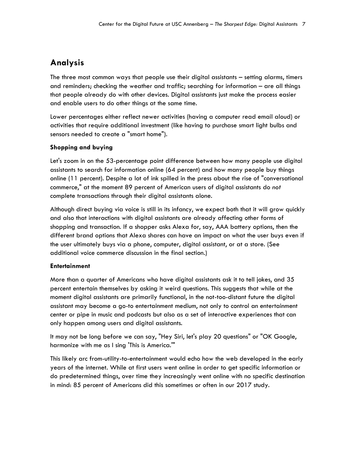## **Analysis**

The three most common ways that people use their digital assistants – setting alarms, timers and reminders; checking the weather and traffic; searching for information – are all things that people already do with other devices. Digital assistants just make the process easier and enable users to do other things at the same time.

Lower percentages either reflect newer activities (having a computer read email aloud) or activities that require additional investment (like having to purchase smart light bulbs and sensors needed to create a "smart home").

#### **Shopping and buying**

Let's zoom in on the 53-percentage point difference between how many people use digital assistants to search for information online (64 percent) and how many people buy things online (11 percent). Despite a lot of ink spilled in the press about the rise of "conversational commerce," at the moment 89 percent of American users of digital assistants do *not* complete transactions through their digital assistants alone.

Although direct buying via voice is still in its infancy, we expect both that it will grow quickly and also that interactions with digital assistants are already affecting other forms of shopping and transaction. If a shopper asks Alexa for, say, AAA battery options, then the different brand options that Alexa shares can have an impact on what the user buys even if the user ultimately buys via a phone, computer, digital assistant, or at a store. (See additional voice commerce discussion in the final section.)

#### **Entertainment**

More than a quarter of Americans who have digital assistants ask it to tell jokes, and 35 percent entertain themselves by asking it weird questions. This suggests that while at the moment digital assistants are primarily functional, in the not-too-distant future the digital assistant may become a go-to entertainment medium, not only to control an entertainment center or pipe in music and podcasts but also as a set of interactive experiences that can only happen among users and digital assistants.

It may not be long before we can say, "Hey Siri, let's play 20 questions" or "OK Google, harmonize with me as I sing 'This is America.'"

This likely arc from-utility-to-entertainment would echo how the web developed in the early years of the internet. While at first users went online in order to get specific information or do predetermined things, over time they increasingly went online with no specific destination in mind: 85 percent of Americans did this sometimes or often in our 2017 study.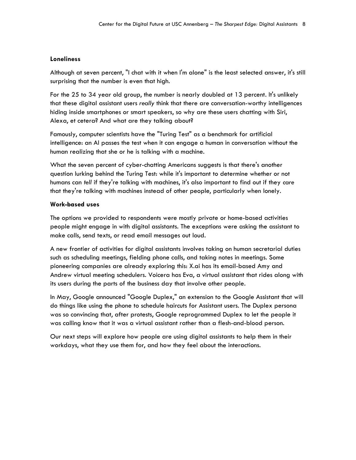#### **Loneliness**

Although at seven percent, "I chat with it when I'm alone" is the least selected answer, it's still surprising that the number is even that high.

For the 25 to 34 year old group, the number is nearly doubled at 13 percent. It's unlikely that these digital assistant users *really* think that there are conversation-worthy intelligences hiding inside smartphones or smart speakers, so why are these users chatting with Siri, Alexa, et cetera? And what are they talking about?

Famously, computer scientists have the "Turing Test" as a benchmark for artificial intelligence: an AI passes the test when it can engage a human in conversation without the human realizing that she or he is talking with a machine.

What the seven percent of cyber-chatting Americans suggests is that there's another question lurking behind the Turing Test: while it's important to determine whether or not humans can *tell* if they're talking with machines, it's also important to find out if they *care* that they're talking with machines instead of other people, particularly when lonely.

#### **Work-based uses**

The options we provided to respondents were mostly private or home-based activities people might engage in with digital assistants. The exceptions were asking the assistant to make calls, send texts, or read email messages out loud.

A new frontier of activities for digital assistants involves taking on human secretarial duties such as scheduling meetings, fielding phone calls, and taking notes in meetings. Some pioneering companies are already exploring this: X.ai has its email-based Amy and Andrew virtual meeting schedulers. Voicera has Eva, a virtual assistant that rides along with its users during the parts of the business day that involve other people.

In May, Google announced "Google Duplex," an extension to the Google Assistant that will do things like using the phone to schedule haircuts for Assistant users. The Duplex persona was so convincing that, after protests, Google reprogrammed Duplex to let the people it was calling know that it was a virtual assistant rather than a flesh-and-blood person.

Our next steps will explore how people are using digital assistants to help them in their workdays, what they use them for, and how they feel about the interactions.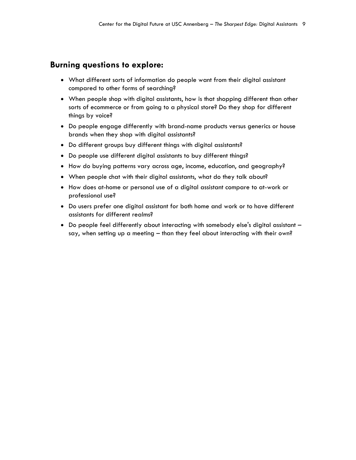#### **Burning questions to explore:**

- What different sorts of information do people want from their digital assistant compared to other forms of searching?
- When people shop with digital assistants, how is that shopping different than other sorts of ecommerce or from going to a physical store? Do they shop for different things by voice?
- Do people engage differently with brand-name products versus generics or house brands when they shop with digital assistants?
- Do different groups buy different things with digital assistants?
- Do people use different digital assistants to buy different things?
- How do buying patterns vary across age, income, education, and geography?
- When people chat with their digital assistants, what do they talk about?
- How does at-home or personal use of a digital assistant compare to at-work or professional use?
- Do users prefer one digital assistant for both home and work or to have different assistants for different realms?
- Do people feel differently about interacting with somebody else's digital assistant say, when setting up a meeting – than they feel about interacting with their own?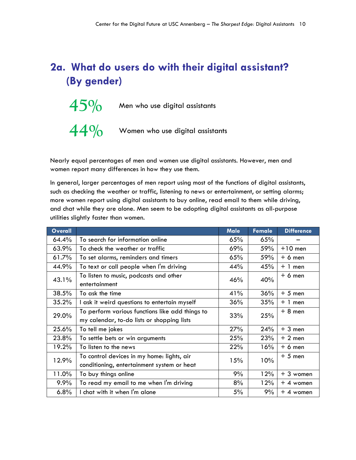# **2a. What do users do with their digital assistant? (By gender)**

 $45\%$  Men who use digital assistants **44%** Women who use digital assistants

Nearly equal percentages of men and women use digital assistants. However, men and women report many differences in how they use them.

In general, larger percentages of men report using most of the functions of digital assistants, such as checking the weather or traffic, listening to news or entertainment, or setting alarms; more women report using digital assistants to buy online, read email to them while driving, and chat while they are alone. Men seem to be adopting digital assistants as all-purpose utilities slightly faster than women.

| <b>Overall</b> |                                                         | <b>Male</b> | <b>Female</b> | <b>Difference</b> |
|----------------|---------------------------------------------------------|-------------|---------------|-------------------|
| 64.4%          | To search for information online                        | 65%         | 65%           |                   |
| 63.9%          | To check the weather or traffic                         | 69%         | 59%           | $+10$ men         |
| 61.7%          | To set alarms, reminders and timers                     | 65%         | 59%           | $+6$ men          |
| 44.9%          | To text or call people when I'm driving                 | 44%         | 45%           | $+ 1$ men         |
| 43.1%          | To listen to music, podcasts and other<br>entertainment | 46%         | 40%           | $+6$ men          |
| 38.5%          | To ask the time                                         | 41%         | 36%           | $+5$ men          |
| 35.2%          | I ask it weird questions to entertain myself            | 36%         | 35%           | $+1$ men          |
| 29.0%          | To perform various functions like add things to         | 33%         | 25%           | $+8$ men          |
|                | my calendar, to-do lists or shopping lists              |             |               |                   |
| 25.6%          | To tell me jokes                                        | 27%         | 24%           | $+3$ men          |
| 23.8%          | To settle bets or win arguments                         | 25%         | 23%           | $+2$ men          |
| 19.2%          | To listen to the news                                   | 22%         | 16%           | $+6$ men          |
| 12.9%          | To control devices in my home: lights, air              | 15%         | 10%           | $+5$ men          |
|                | conditioning, entertainment system or heat              |             |               |                   |
| 11.0%          | To buy things online                                    | 9%          | 12%           | $+3$ women        |
| 9.9%           | To read my email to me when I'm driving                 | 8%          | 12%           | $+4$ women        |
| 6.8%           | I chat with it when I'm alone                           | 5%          | 9%            | $+4$ women        |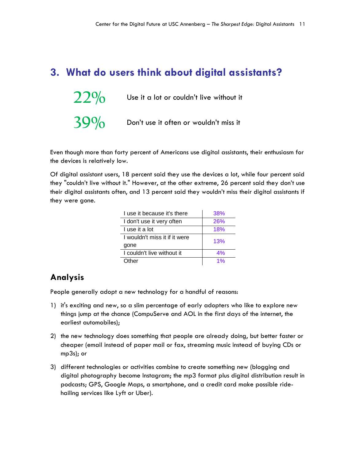# **3. What do users think about digital assistants?**

| 22% | Use it a lot or couldn't live without it |
|-----|------------------------------------------|
| 39% | Don't use it often or wouldn't miss it   |

Even though more than forty percent of Americans use digital assistants, their enthusiasm for the devices is relatively low.

Of digital assistant users, 18 percent said they use the devices a lot, while four percent said they "couldn't live without it." However, at the other extreme, 26 percent said they don't use their digital assistants often, and 13 percent said they wouldn't miss their digital assistants if they were gone.

| Luse it because it's there    | 38% |
|-------------------------------|-----|
| I don't use it very often     | 26% |
| Luse it a lot                 | 18% |
| I wouldn't miss it if it were | 13% |
| gone                          |     |
| I couldn't live without it    | 4%  |
| Other                         | 1%  |

### **Analysis**

People generally adopt a new technology for a handful of reasons:

- 1) it's exciting and new, so a slim percentage of early adopters who like to explore new things jump at the chance (CompuServe and AOL in the first days of the internet, the earliest automobiles);
- 2) the new technology does something that people are already doing, but better faster or cheaper (email instead of paper mail or fax, streaming music instead of buying CDs or mp3s); or
- 3) different technologies or activities combine to create something new (blogging and digital photography become Instagram; the mp3 format plus digital distribution result in podcasts; GPS, Google Maps, a smartphone, and a credit card make possible ridehailing services like Lyft or Uber).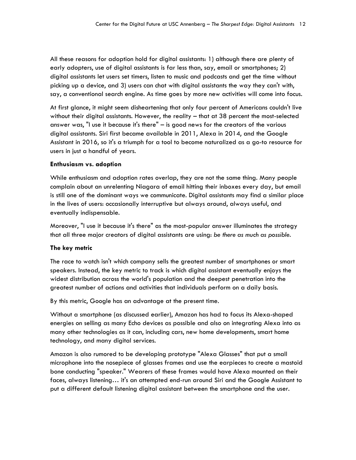All these reasons for adoption hold for digital assistants: 1) although there are plenty of early adopters, use of digital assistants is far less than, say, email or smartphones; 2) digital assistants let users set timers, listen to music and podcasts and get the time without picking up a device, and 3) users can chat with digital assistants the way they can't with, say, a conventional search engine. As time goes by more new activities will come into focus.

At first glance, it might seem disheartening that only four percent of Americans couldn't live without their digital assistants. However, the reality – that at 38 percent the most-selected answer was, "I use it because it's there" – is good news for the creators of the various digital assistants. Siri first became available in 2011, Alexa in 2014, and the Google Assistant in 2016, so it's a triumph for a tool to become naturalized as a go-to resource for users in just a handful of years.

#### **Enthusiasm vs. adoption**

While enthusiasm and adoption rates overlap, they are not the same thing. Many people complain about an unrelenting Niagara of email hitting their inboxes every day, but email is still one of the dominant ways we communicate. Digital assistants may find a similar place in the lives of users: occasionally interruptive but always around, always useful, and eventually indispensable.

Moreover, "I use it because it's there" as the most-popular answer illuminates the strategy that all three major creators of digital assistants are using: *be there as much as possible.*

#### **The key metric**

The race to watch isn't which company sells the greatest number of smartphones or smart speakers. Instead, the key metric to track is which digital assistant eventually enjoys the widest distribution across the world's population and the deepest penetration into the greatest number of actions and activities that individuals perform on a daily basis.

By this metric, Google has an advantage at the present time.

Without a smartphone (as discussed earlier), Amazon has had to focus its Alexa-shaped energies on selling as many Echo devices as possible and also on integrating Alexa into as many other technologies as it can, including cars, new home developments, smart home technology, and many digital services.

Amazon is also rumored to be developing prototype "Alexa Glasses" that put a small microphone into the nosepiece of glasses frames and use the earpieces to create a mastoid bone conducting "speaker." Wearers of these frames would have Alexa mounted on their faces, always listening… it's an attempted end-run around Siri and the Google Assistant to put a different default listening digital assistant between the smartphone and the user.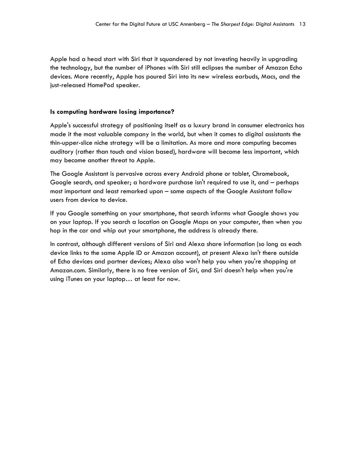Apple had a head start with Siri that it squandered by not investing heavily in upgrading the technology, but the number of iPhones with Siri still eclipses the number of Amazon Echo devices. More recently, Apple has poured Siri into its new wireless earbuds, Macs, and the just-released HomePod speaker.

#### **Is computing hardware losing importance?**

Apple's successful strategy of positioning itself as a luxury brand in consumer electronics has made it the most valuable company in the world, but when it comes to digital assistants the thin-upper-slice niche strategy will be a limitation. As more and more computing becomes auditory (rather than touch and vision based), hardware will become less important, which may become another threat to Apple.

The Google Assistant is pervasive across every Android phone or tablet, Chromebook, Google search, and speaker; a hardware purchase isn't required to use it, and – perhaps most important and least remarked upon – some aspects of the Google Assistant follow users from device to device.

If you Google something on your smartphone, that search informs what Google shows you on your laptop. If you search a location on Google Maps on your computer, then when you hop in the car and whip out your smartphone, the address is already there.

In contrast, although different versions of Siri and Alexa share information (so long as each device links to the same Apple ID or Amazon account), at present Alexa isn't there outside of Echo devices and partner devices; Alexa also won't help you when you're shopping at Amazon.com. Similarly, there is no free version of Siri, and Siri doesn't help when you're using iTunes on your laptop… at least for now.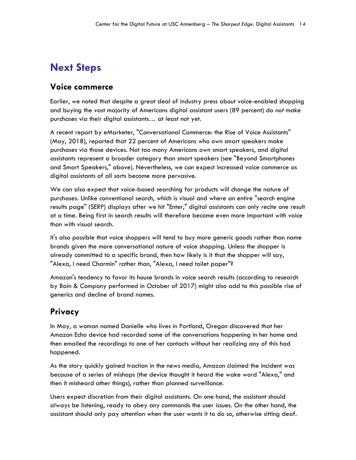# **Next Steps**

#### **Voice commerce**

Earlier, we noted that despite a great deal of industry press about voice-enabled shopping and buying the vast majority of Americans digital assistant users (89 percent) do *not* make purchases via their digital assistants… at least not yet.

A recent report by eMarketer, "Conversational Commerce: the Rise of Voice Assistants" (May, 2018), reported that 22 percent of Americans who own smart speakers make purchases via those devices. Not too many Americans own smart speakers, and digital assistants represent a broader category than smart speakers (see "Beyond Smartphones and Smart Speakers," above). Nevertheless, we can expect increased voice commerce as digital assistants of all sorts become more pervasive.

We can also expect that voice-based searching for products will change the nature of purchases. Unlike conventional search, which is visual and where an entire "search engine results page" (SERP) displays after we hit "Enter," digital assistants can only recite one result at a time. Being first in search results will therefore become even more important with voice than with visual search.

It's also possible that voice shoppers will tend to buy more generic goods rather than name brands given the more conversational nature of voice shopping. Unless the shopper is already committed to a specific brand, then how likely is it that the shopper will say, "Alexa, I need Charmin" rather than, "Alexa, I need toilet paper"?

Amazon's tendency to favor its house brands in voice search results (according to research by Bain & Company performed in October of 2017) might also add to this possible rise of generics and decline of brand names.

## **Privacy**

In May, a woman named Danielle who lives in Portland, Oregon discovered that her Amazon Echo device had recorded some of the conversations happening in her home and then emailed the recordings to one of her contacts without her realizing any of this had happened.

As the story quickly gained traction in the news media, Amazon claimed the incident was because of a series of mishaps (the device thought it heard the wake word "Alexa," and then it misheard other things), rather than planned surveillance.

Users expect discretion from their digital assistants. On one hand, the assistant should always be listening, ready to obey any commands the user issues. On the other hand, the assistant should only pay attention when the user wants it to do so, otherwise sitting deaf.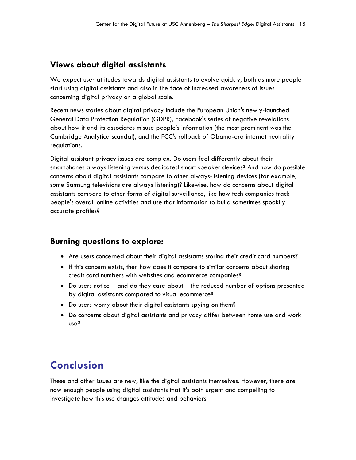## **Views about digital assistants**

We expect user attitudes towards digital assistants to evolve quickly, both as more people start using digital assistants and also in the face of increased awareness of issues concerning digital privacy on a global scale.

Recent news stories about digital privacy include the European Union's newly-launched General Data Protection Regulation (GDPR), Facebook's series of negative revelations about how it and its associates misuse people's information (the most prominent was the Cambridge Analytica scandal), and the FCC's rollback of Obama-era internet neutrality regulations.

Digital assistant privacy issues are complex. Do users feel differently about their smartphones always listening versus dedicated smart speaker devices? And how do possible concerns about digital assistants compare to other always-listening devices (for example, some Samsung televisions are always listening)? Likewise, how do concerns about digital assistants compare to other forms of digital surveillance, like how tech companies track people's overall online activities and use that information to build sometimes spookily accurate profiles?

### **Burning questions to explore:**

- Are users concerned about their digital assistants storing their credit card numbers?
- If this concern exists, then how does it compare to similar concerns about sharing credit card numbers with websites and ecommerce companies?
- Do users notice and do they care about the reduced number of options presented by digital assistants compared to visual ecommerce?
- Do users worry about their digital assistants spying on them?
- Do concerns about digital assistants and privacy differ between home use and work use?

# **Conclusion**

These and other issues are new, like the digital assistants themselves. However, there are now enough people using digital assistants that it's both urgent and compelling to investigate how this use changes attitudes and behaviors.